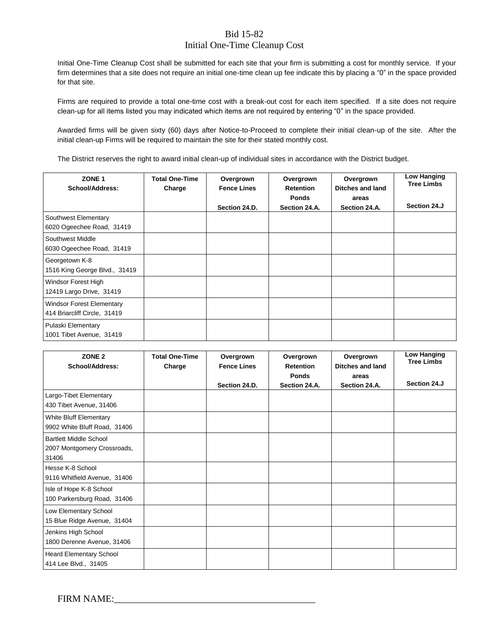#### Bid 15-82

#### Initial One-Time Cleanup Cost

Initial One-Time Cleanup Cost shall be submitted for each site that your firm is submitting a cost for monthly service. If your firm determines that a site does not require an initial one-time clean up fee indicate this by placing a "0" in the space provided for that site.

Firms are required to provide a total one-time cost with a break-out cost for each item specified. If a site does not require clean-up for all items listed you may indicated which items are not required by entering "0" in the space provided.

Awarded firms will be given sixty (60) days after Notice-to-Proceed to complete their initial clean-up of the site. After the initial clean-up Firms will be required to maintain the site for their stated monthly cost.

The District reserves the right to award initial clean-up of individual sites in accordance with the District budget.

| ZONE <sub>1</sub><br>School/Address:                             | <b>Total One-Time</b><br>Charge | Overgrown<br><b>Fence Lines</b><br>Section 24.D. | Overgrown<br><b>Retention</b><br><b>Ponds</b><br>Section 24.A. | Overgrown<br>Ditches and land<br>areas<br>Section 24.A. | Low Hanging<br><b>Tree Limbs</b><br>Section 24.J |
|------------------------------------------------------------------|---------------------------------|--------------------------------------------------|----------------------------------------------------------------|---------------------------------------------------------|--------------------------------------------------|
| Southwest Elementary<br>6020 Ogeechee Road, 31419                |                                 |                                                  |                                                                |                                                         |                                                  |
| Southwest Middle<br>6030 Ogeechee Road, 31419                    |                                 |                                                  |                                                                |                                                         |                                                  |
| Georgetown K-8<br>1516 King George Blvd., 31419                  |                                 |                                                  |                                                                |                                                         |                                                  |
| Windsor Forest High<br>12419 Largo Drive, 31419                  |                                 |                                                  |                                                                |                                                         |                                                  |
| <b>Windsor Forest Elementary</b><br>414 Briarcliff Circle, 31419 |                                 |                                                  |                                                                |                                                         |                                                  |
| Pulaski Elementary<br>1001 Tibet Avenue, 31419                   |                                 |                                                  |                                                                |                                                         |                                                  |

| ZONE <sub>2</sub><br>School/Address:                                  | <b>Total One-Time</b><br>Charge | Overgrown<br><b>Fence Lines</b> | Overgrown<br><b>Retention</b> | Overgrown<br>Ditches and land | <b>Low Hanging</b><br><b>Tree Limbs</b> |
|-----------------------------------------------------------------------|---------------------------------|---------------------------------|-------------------------------|-------------------------------|-----------------------------------------|
|                                                                       |                                 | Section 24.D.                   | <b>Ponds</b><br>Section 24.A. | areas<br>Section 24.A.        | Section 24.J                            |
| Largo-Tibet Elementary<br>430 Tibet Avenue, 31406                     |                                 |                                 |                               |                               |                                         |
| White Bluff Elementary<br>9902 White Bluff Road, 31406                |                                 |                                 |                               |                               |                                         |
| <b>Bartlett Middle School</b><br>2007 Montgomery Crossroads,<br>31406 |                                 |                                 |                               |                               |                                         |
| Hesse K-8 School<br>9116 Whitfield Avenue, 31406                      |                                 |                                 |                               |                               |                                         |
| Isle of Hope K-8 School<br>100 Parkersburg Road, 31406                |                                 |                                 |                               |                               |                                         |
| Low Elementary School<br>15 Blue Ridge Avenue, 31404                  |                                 |                                 |                               |                               |                                         |
| Jenkins High School<br>1800 Derenne Avenue, 31406                     |                                 |                                 |                               |                               |                                         |
| Heard Elementary School<br>414 Lee Blvd., 31405                       |                                 |                                 |                               |                               |                                         |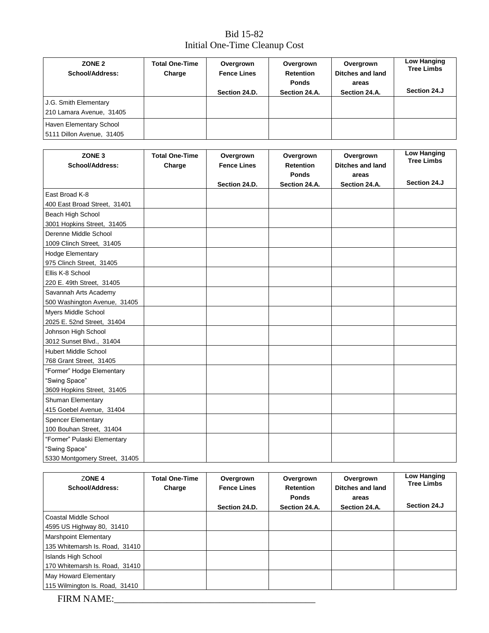## Bid 15-82 Initial One-Time Cleanup Cost

| ZONE <sub>2</sub><br>School/Address: | <b>Total One-Time</b><br>Charge | Overgrown<br><b>Fence Lines</b> | Overgrown<br><b>Retention</b><br><b>Ponds</b> | Overgrown<br>Ditches and land<br>areas | Low Hanging<br><b>Tree Limbs</b> |
|--------------------------------------|---------------------------------|---------------------------------|-----------------------------------------------|----------------------------------------|----------------------------------|
|                                      |                                 | Section 24.D.                   | Section 24.A.                                 | Section 24.A.                          | Section 24.J                     |
| J.G. Smith Elementary                |                                 |                                 |                                               |                                        |                                  |
| 210 Lamara Avenue, 31405             |                                 |                                 |                                               |                                        |                                  |
| Haven Elementary School              |                                 |                                 |                                               |                                        |                                  |
| 5111 Dillon Avenue, 31405            |                                 |                                 |                                               |                                        |                                  |

| ZONE <sub>3</sub>             | <b>Total One-Time</b> | Overgrown          | Overgrown        | Overgrown               | <b>Low Hanging</b><br><b>Tree Limbs</b> |
|-------------------------------|-----------------------|--------------------|------------------|-------------------------|-----------------------------------------|
| School/Address:               | Charge                | <b>Fence Lines</b> | <b>Retention</b> | <b>Ditches and land</b> |                                         |
|                               |                       |                    | <b>Ponds</b>     | areas                   |                                         |
|                               |                       | Section 24.D.      | Section 24.A.    | Section 24.A.           | Section 24.J                            |
| East Broad K-8                |                       |                    |                  |                         |                                         |
| 400 East Broad Street, 31401  |                       |                    |                  |                         |                                         |
| Beach High School             |                       |                    |                  |                         |                                         |
| 3001 Hopkins Street, 31405    |                       |                    |                  |                         |                                         |
| Derenne Middle School         |                       |                    |                  |                         |                                         |
| 1009 Clinch Street, 31405     |                       |                    |                  |                         |                                         |
| <b>Hodge Elementary</b>       |                       |                    |                  |                         |                                         |
| 975 Clinch Street, 31405      |                       |                    |                  |                         |                                         |
| Ellis K-8 School              |                       |                    |                  |                         |                                         |
| 220 E. 49th Street, 31405     |                       |                    |                  |                         |                                         |
| Savannah Arts Academy         |                       |                    |                  |                         |                                         |
| 500 Washington Avenue, 31405  |                       |                    |                  |                         |                                         |
| Myers Middle School           |                       |                    |                  |                         |                                         |
| 2025 E. 52nd Street, 31404    |                       |                    |                  |                         |                                         |
| Johnson High School           |                       |                    |                  |                         |                                         |
| 3012 Sunset Blvd., 31404      |                       |                    |                  |                         |                                         |
| <b>Hubert Middle School</b>   |                       |                    |                  |                         |                                         |
| 768 Grant Street, 31405       |                       |                    |                  |                         |                                         |
| "Former" Hodge Elementary     |                       |                    |                  |                         |                                         |
| "Swing Space"                 |                       |                    |                  |                         |                                         |
| 3609 Hopkins Street, 31405    |                       |                    |                  |                         |                                         |
| Shuman Elementary             |                       |                    |                  |                         |                                         |
| 415 Goebel Avenue, 31404      |                       |                    |                  |                         |                                         |
| <b>Spencer Elementary</b>     |                       |                    |                  |                         |                                         |
| 100 Bouhan Street, 31404      |                       |                    |                  |                         |                                         |
| "Former" Pulaski Elementary   |                       |                    |                  |                         |                                         |
| "Swing Space"                 |                       |                    |                  |                         |                                         |
| 5330 Montgomery Street, 31405 |                       |                    |                  |                         |                                         |

| ZONE <sub>4</sub><br>School/Address: | <b>Total One-Time</b><br>Charge | Overgrown<br><b>Fence Lines</b> | Overgrown<br><b>Retention</b> | Overgrown<br>Ditches and land | Low Hanging<br><b>Tree Limbs</b> |
|--------------------------------------|---------------------------------|---------------------------------|-------------------------------|-------------------------------|----------------------------------|
|                                      |                                 |                                 | <b>Ponds</b>                  | areas                         |                                  |
|                                      |                                 | Section 24.D.                   | Section 24.A.                 | Section 24.A.                 | Section 24.J                     |
| Coastal Middle School                |                                 |                                 |                               |                               |                                  |
| 4595 US Highway 80, 31410            |                                 |                                 |                               |                               |                                  |
| <b>Marshpoint Elementary</b>         |                                 |                                 |                               |                               |                                  |
| 135 Whitemarsh Is. Road, 31410       |                                 |                                 |                               |                               |                                  |
| <b>Islands High School</b>           |                                 |                                 |                               |                               |                                  |
| 170 Whitemarsh Is. Road, 31410       |                                 |                                 |                               |                               |                                  |
| May Howard Elementary                |                                 |                                 |                               |                               |                                  |
| 115 Wilmington Is. Road, 31410       |                                 |                                 |                               |                               |                                  |

FIRM NAME:\_\_\_\_\_\_\_\_\_\_\_\_\_\_\_\_\_\_\_\_\_\_\_\_\_\_\_\_\_\_\_\_\_\_\_\_\_\_\_\_\_\_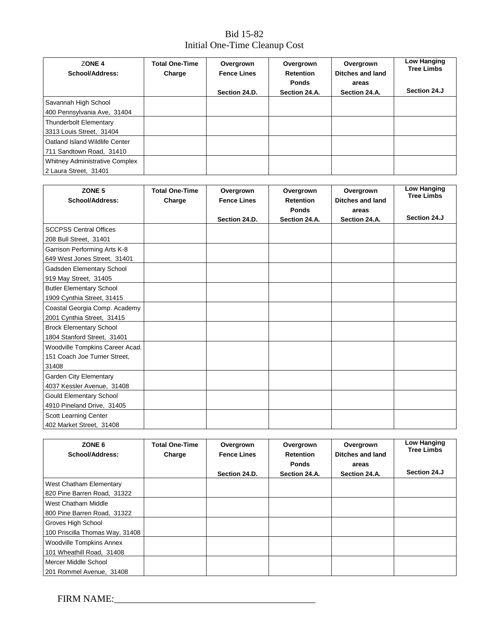## Bid 15-82 Initial One-Time Cleanup Cost

| ZONE <sub>4</sub><br>School/Address:                           | <b>Total One-Time</b><br>Charge | Overgrown<br><b>Fence Lines</b><br>Section 24.D. | Overgrown<br><b>Retention</b><br><b>Ponds</b><br>Section 24.A. | Overgrown<br><b>Ditches and land</b><br>areas<br>Section 24.A. | Low Hanging<br><b>Tree Limbs</b><br>Section 24.J |
|----------------------------------------------------------------|---------------------------------|--------------------------------------------------|----------------------------------------------------------------|----------------------------------------------------------------|--------------------------------------------------|
| Savannah High School<br>400 Pennsylvania Ave, 31404            |                                 |                                                  |                                                                |                                                                |                                                  |
| <b>Thunderbolt Elementary</b><br>3313 Louis Street, 31404      |                                 |                                                  |                                                                |                                                                |                                                  |
| Oatland Island Wildlife Center<br>711 Sandtown Road, 31410     |                                 |                                                  |                                                                |                                                                |                                                  |
| <b>Whitney Administrative Complex</b><br>2 Laura Street, 31401 |                                 |                                                  |                                                                |                                                                |                                                  |

| ZONE <sub>5</sub><br><b>School/Address:</b>                              | <b>Total One-Time</b><br>Charge | Overgrown<br><b>Fence Lines</b> | Overgrown<br><b>Retention</b> | Overgrown<br>Ditches and land | <b>Low Hanging</b><br><b>Tree Limbs</b> |
|--------------------------------------------------------------------------|---------------------------------|---------------------------------|-------------------------------|-------------------------------|-----------------------------------------|
|                                                                          |                                 | Section 24.D.                   | <b>Ponds</b><br>Section 24.A. | areas<br>Section 24.A.        | Section 24.J                            |
| <b>SCCPSS Central Offices</b><br>208 Bull Street, 31401                  |                                 |                                 |                               |                               |                                         |
| Garrison Performing Arts K-8<br>649 West Jones Street, 31401             |                                 |                                 |                               |                               |                                         |
| Gadsden Elementary School<br>919 May Street, 31405                       |                                 |                                 |                               |                               |                                         |
| <b>Butler Elementary School</b><br>1909 Cynthia Street, 31415            |                                 |                                 |                               |                               |                                         |
| Coastal Georgia Comp. Academy<br>2001 Cynthia Street, 31415              |                                 |                                 |                               |                               |                                         |
| <b>Brock Elementary School</b><br>1804 Stanford Street, 31401            |                                 |                                 |                               |                               |                                         |
| Woodville Tompkins Career Acad.<br>151 Coach Joe Turner Street,<br>31408 |                                 |                                 |                               |                               |                                         |
| <b>Garden City Elementary</b><br>4037 Kessler Avenue, 31408              |                                 |                                 |                               |                               |                                         |
| <b>Gould Elementary School</b><br>4910 Pineland Drive, 31405             |                                 |                                 |                               |                               |                                         |
| Scott Learning Center<br>402 Market Street, 31408                        |                                 |                                 |                               |                               |                                         |

| ZONE <sub>6</sub><br>School/Address: | <b>Total One-Time</b><br>Charge | Overgrown<br><b>Fence Lines</b> | Overgrown<br><b>Retention</b><br><b>Ponds</b> | Overgrown<br><b>Ditches and land</b><br>areas | Low Hanging<br><b>Tree Limbs</b><br>Section 24.J |
|--------------------------------------|---------------------------------|---------------------------------|-----------------------------------------------|-----------------------------------------------|--------------------------------------------------|
|                                      |                                 | Section 24.D.                   | Section 24.A.                                 | Section 24.A.                                 |                                                  |
| West Chatham Elementary              |                                 |                                 |                                               |                                               |                                                  |
| 820 Pine Barren Road, 31322          |                                 |                                 |                                               |                                               |                                                  |
| West Chatham Middle                  |                                 |                                 |                                               |                                               |                                                  |
| 800 Pine Barren Road, 31322          |                                 |                                 |                                               |                                               |                                                  |
| Groves High School                   |                                 |                                 |                                               |                                               |                                                  |
| 100 Priscilla Thomas Way, 31408      |                                 |                                 |                                               |                                               |                                                  |
| <b>Woodville Tompkins Annex</b>      |                                 |                                 |                                               |                                               |                                                  |
| 101 Wheathill Road, 31408            |                                 |                                 |                                               |                                               |                                                  |
| Mercer Middle School                 |                                 |                                 |                                               |                                               |                                                  |
| 201 Rommel Avenue, 31408             |                                 |                                 |                                               |                                               |                                                  |

FIRM NAME:\_\_\_\_\_\_\_\_\_\_\_\_\_\_\_\_\_\_\_\_\_\_\_\_\_\_\_\_\_\_\_\_\_\_\_\_\_\_\_\_\_\_